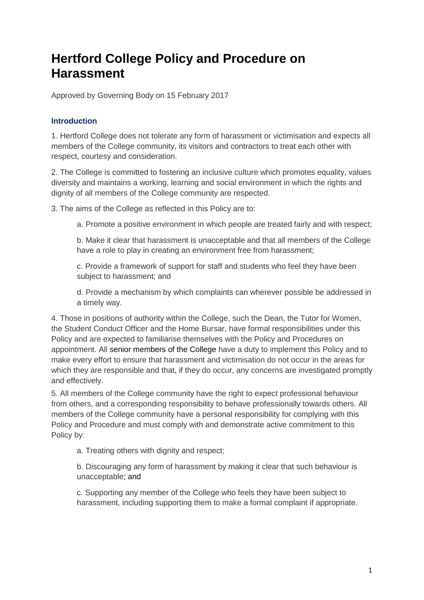# **Hertford College Policy and Procedure on Harassment**

Approved by Governing Body on 15 February 2017

# **Introduction**

1. Hertford College does not tolerate any form of harassment or victimisation and expects all members of the College community, its visitors and contractors to treat each other with respect, courtesy and consideration.

2. The College is committed to fostering an inclusive culture which promotes equality, values diversity and maintains a working, learning and social environment in which the rights and dignity of all members of the College community are respected.

3. The aims of the College as reflected in this Policy are to:

a. Promote a positive environment in which people are treated fairly and with respect;

b. Make it clear that harassment is unacceptable and that all members of the College have a role to play in creating an environment free from harassment;

c. Provide a framework of support for staff and students who feel they have been subject to harassment; and

d. Provide a mechanism by which complaints can wherever possible be addressed in a timely way.

4. Those in positions of authority within the College, such the Dean, the Tutor for Women, the Student Conduct Officer and the Home Bursar, have formal responsibilities under this Policy and are expected to familiarise themselves with the Policy and Procedures on appointment. All senior members of the College have a duty to implement this Policy and to make every effort to ensure that harassment and victimisation do not occur in the areas for which they are responsible and that, if they do occur, any concerns are investigated promptly and effectively.

5. All members of the College community have the right to expect professional behaviour from others, and a corresponding responsibility to behave professionally towards others. All members of the College community have a personal responsibility for complying with this Policy and Procedure and must comply with and demonstrate active commitment to this Policy by:

a. Treating others with dignity and respect;

b. Discouraging any form of harassment by making it clear that such behaviour is unacceptable; and

c. Supporting any member of the College who feels they have been subject to harassment, including supporting them to make a formal complaint if appropriate.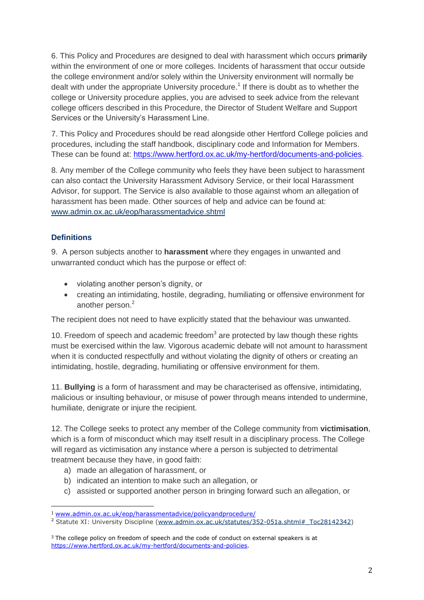6. This Policy and Procedures are designed to deal with harassment which occurs primarily within the environment of one or more colleges. Incidents of harassment that occur outside the college environment and/or solely within the University environment will normally be dealt with under the appropriate University procedure.<sup>1</sup> If there is doubt as to whether the college or University procedure applies, you are advised to seek advice from the relevant college officers described in this Procedure, the Director of Student Welfare and Support Services or the University's Harassment Line.

7. This Policy and Procedures should be read alongside other Hertford College policies and procedures, including the staff handbook, disciplinary code and Information for Members. These can be found at: [https://www.hertford.ox.ac.uk/my-hertford/documents-and-policies.](https://www.hertford.ox.ac.uk/my-hertford/documents-and-policies)

8. Any member of the College community who feels they have been subject to harassment can also contact the University Harassment Advisory Service, or their local Harassment Advisor, for support. The Service is also available to those against whom an allegation of harassment has been made. Other sources of help and advice can be found at: [www.admin.ox.ac.uk/eop/harassmentadvice.shtml](http://www.admin.ox.ac.uk/eop/harassmentadvice/)

## **Definitions**

<u>.</u>

9. A person subjects another to **harassment** where they engages in unwanted and unwarranted conduct which has the purpose or effect of:

- violating another person's dignity, or
- creating an intimidating, hostile, degrading, humiliating or offensive environment for another person.<sup>2</sup>

The recipient does not need to have explicitly stated that the behaviour was unwanted.

10. Freedom of speech and academic freedom $3$  are protected by law though these rights must be exercised within the law. Vigorous academic debate will not amount to harassment when it is conducted respectfully and without violating the dignity of others or creating an intimidating, hostile, degrading, humiliating or offensive environment for them.

11. **Bullying** is a form of harassment and may be characterised as offensive, intimidating, malicious or insulting behaviour, or misuse of power through means intended to undermine, humiliate, denigrate or injure the recipient.

12. The College seeks to protect any member of the College community from **victimisation**, which is a form of misconduct which may itself result in a disciplinary process. The College will regard as victimisation any instance where a person is subjected to detrimental treatment because they have, in good faith:

- a) made an allegation of harassment, or
- b) indicated an intention to make such an allegation, or
- c) assisted or supported another person in bringing forward such an allegation, or

<sup>1</sup> [www.admin.ox.ac.uk/eop/harassmentadvice/policyandprocedure/](http://www.admin.ox.ac.uk/eop/harassmentadvice/policyandprocedure/)

<sup>&</sup>lt;sup>2</sup> Statute XI: University Discipline [\(www.admin.ox.ac.uk/statutes/352-051a.shtml#\\_Toc28142342\)](http://www.admin.ox.ac.uk/statutes/352-051a.shtml#_Toc28142342)

<sup>&</sup>lt;sup>3</sup> The college policy on freedom of speech and the code of conduct on external speakers is at [https://www.hertford.ox.ac.uk/my-hertford/documents-and-policies.](https://www.hertford.ox.ac.uk/my-hertford/documents-and-policies)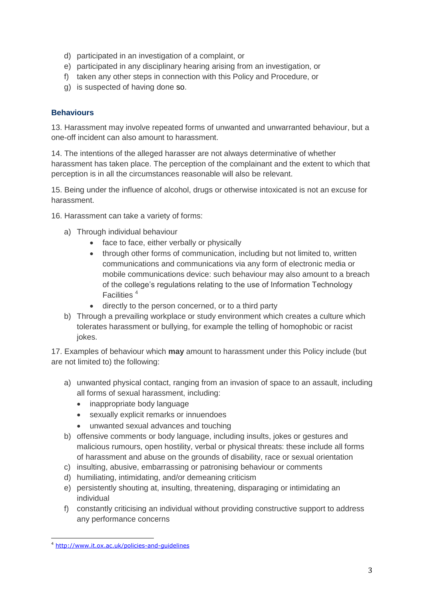- d) participated in an investigation of a complaint, or
- e) participated in any disciplinary hearing arising from an investigation, or
- f) taken any other steps in connection with this Policy and Procedure, or
- g) is suspected of having done so.

### **Behaviours**

13. Harassment may involve repeated forms of unwanted and unwarranted behaviour, but a one-off incident can also amount to harassment.

14. The intentions of the alleged harasser are not always determinative of whether harassment has taken place. The perception of the complainant and the extent to which that perception is in all the circumstances reasonable will also be relevant.

15. Being under the influence of alcohol, drugs or otherwise intoxicated is not an excuse for harassment.

16. Harassment can take a variety of forms:

- a) Through individual behaviour
	- face to face, either verbally or physically
	- through other forms of communication, including but not limited to, written communications and communications via any form of electronic media or mobile communications device: such behaviour may also amount to a breach of the college's regulations relating to the use of Information Technology Facilities <sup>4</sup>
	- directly to the person concerned, or to a third party
- b) Through a prevailing workplace or study environment which creates a culture which tolerates harassment or bullying, for example the telling of homophobic or racist jokes.

17. Examples of behaviour which **may** amount to harassment under this Policy include (but are not limited to) the following:

- a) unwanted physical contact, ranging from an invasion of space to an assault, including all forms of sexual harassment, including:
	- inappropriate body language
	- sexually explicit remarks or innuendoes
	- unwanted sexual advances and touching
- b) offensive comments or body language, including insults, jokes or gestures and malicious rumours, open hostility, verbal or physical threats: these include all forms of harassment and abuse on the grounds of disability, race or sexual orientation
- c) insulting, abusive, embarrassing or patronising behaviour or comments
- d) humiliating, intimidating, and/or demeaning criticism
- e) persistently shouting at, insulting, threatening, disparaging or intimidating an individual
- f) constantly criticising an individual without providing constructive support to address any performance concerns

<sup>-</sup><sup>4</sup> <http://www.it.ox.ac.uk/policies-and-guidelines>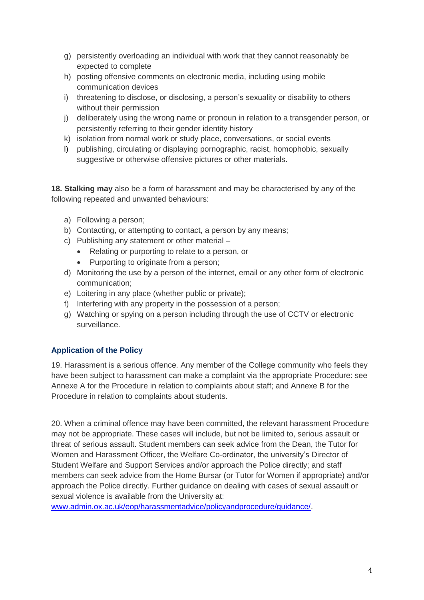- g) persistently overloading an individual with work that they cannot reasonably be expected to complete
- h) posting offensive comments on electronic media, including using mobile communication devices
- i) threatening to disclose, or disclosing, a person's sexuality or disability to others without their permission
- j) deliberately using the wrong name or pronoun in relation to a transgender person, or persistently referring to their gender identity history
- k) isolation from normal work or study place, conversations, or social events
- l) publishing, circulating or displaying pornographic, racist, homophobic, sexually suggestive or otherwise offensive pictures or other materials.

**18. Stalking may** also be a form of harassment and may be characterised by any of the following repeated and unwanted behaviours:

- a) Following a person;
- b) Contacting, or attempting to contact, a person by any means;
- c) Publishing any statement or other material
	- Relating or purporting to relate to a person, or
	- Purporting to originate from a person;
- d) Monitoring the use by a person of the internet, email or any other form of electronic communication;
- e) Loitering in any place (whether public or private);
- f) Interfering with any property in the possession of a person;
- g) Watching or spying on a person including through the use of CCTV or electronic surveillance.

# **Application of the Policy**

19. Harassment is a serious offence. Any member of the College community who feels they have been subject to harassment can make a complaint via the appropriate Procedure: see Annexe A for the Procedure in relation to complaints about staff; and Annexe B for the Procedure in relation to complaints about students.

20. When a criminal offence may have been committed, the relevant harassment Procedure may not be appropriate. These cases will include, but not be limited to, serious assault or threat of serious assault. Student members can seek advice from the Dean, the Tutor for Women and Harassment Officer, the Welfare Co-ordinator, the university's Director of Student Welfare and Support Services and/or approach the Police directly; and staff members can seek advice from the Home Bursar (or Tutor for Women if appropriate) and/or approach the Police directly. Further guidance on dealing with cases of sexual assault or sexual violence is available from the University at:

www.admin.ox.ac.uk/eop/harassmentadvice/policyandprocedure/quidance/.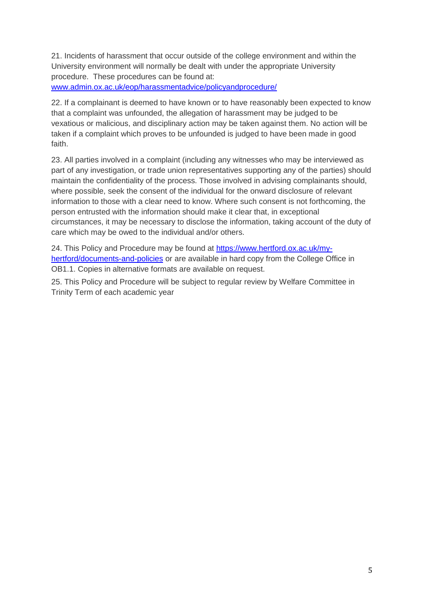21. Incidents of harassment that occur outside of the college environment and within the University environment will normally be dealt with under the appropriate University procedure. These procedures can be found at:

[www.admin.ox.ac.uk/eop/harassmentadvice/policyandprocedure/](http://www.admin.ox.ac.uk/eop/harassmentadvice/policyandprocedure/)

22. If a complainant is deemed to have known or to have reasonably been expected to know that a complaint was unfounded, the allegation of harassment may be judged to be vexatious or malicious, and disciplinary action may be taken against them. No action will be taken if a complaint which proves to be unfounded is judged to have been made in good faith.

23. All parties involved in a complaint (including any witnesses who may be interviewed as part of any investigation, or trade union representatives supporting any of the parties) should maintain the confidentiality of the process. Those involved in advising complainants should, where possible, seek the consent of the individual for the onward disclosure of relevant information to those with a clear need to know. Where such consent is not forthcoming, the person entrusted with the information should make it clear that, in exceptional circumstances, it may be necessary to disclose the information, taking account of the duty of care which may be owed to the individual and/or others.

24. This Policy and Procedure may be found at [https://www.hertford.ox.ac.uk/my](https://www.hertford.ox.ac.uk/my-hertford/documents-and-policies)[hertford/documents-and-policies](https://www.hertford.ox.ac.uk/my-hertford/documents-and-policies) or are available in hard copy from the College Office in OB1.1. Copies in alternative formats are available on request.

25. This Policy and Procedure will be subject to regular review by Welfare Committee in Trinity Term of each academic year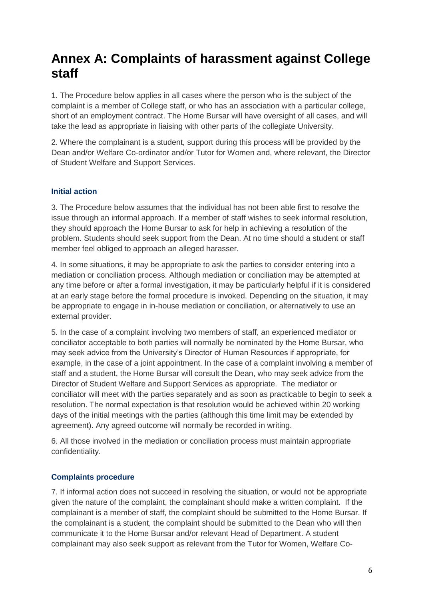# **Annex A: Complaints of harassment against College staff**

1. The Procedure below applies in all cases where the person who is the subject of the complaint is a member of College staff, or who has an association with a particular college, short of an employment contract. The Home Bursar will have oversight of all cases, and will take the lead as appropriate in liaising with other parts of the collegiate University.

2. Where the complainant is a student, support during this process will be provided by the Dean and/or Welfare Co-ordinator and/or Tutor for Women and, where relevant, the Director of Student Welfare and Support Services.

### **Initial action**

3. The Procedure below assumes that the individual has not been able first to resolve the issue through an informal approach. If a member of staff wishes to seek informal resolution, they should approach the Home Bursar to ask for help in achieving a resolution of the problem. Students should seek support from the Dean. At no time should a student or staff member feel obliged to approach an alleged harasser.

4. In some situations, it may be appropriate to ask the parties to consider entering into a mediation or conciliation process. Although mediation or conciliation may be attempted at any time before or after a formal investigation, it may be particularly helpful if it is considered at an early stage before the formal procedure is invoked. Depending on the situation, it may be appropriate to engage in in-house mediation or conciliation, or alternatively to use an external provider.

5. In the case of a complaint involving two members of staff, an experienced mediator or conciliator acceptable to both parties will normally be nominated by the Home Bursar, who may seek advice from the University's Director of Human Resources if appropriate, for example, in the case of a joint appointment. In the case of a complaint involving a member of staff and a student, the Home Bursar will consult the Dean, who may seek advice from the Director of Student Welfare and Support Services as appropriate. The mediator or conciliator will meet with the parties separately and as soon as practicable to begin to seek a resolution. The normal expectation is that resolution would be achieved within 20 working days of the initial meetings with the parties (although this time limit may be extended by agreement). Any agreed outcome will normally be recorded in writing.

6. All those involved in the mediation or conciliation process must maintain appropriate confidentiality.

# **Complaints procedure**

7. If informal action does not succeed in resolving the situation, or would not be appropriate given the nature of the complaint, the complainant should make a written complaint. If the complainant is a member of staff, the complaint should be submitted to the Home Bursar. If the complainant is a student, the complaint should be submitted to the Dean who will then communicate it to the Home Bursar and/or relevant Head of Department. A student complainant may also seek support as relevant from the Tutor for Women, Welfare Co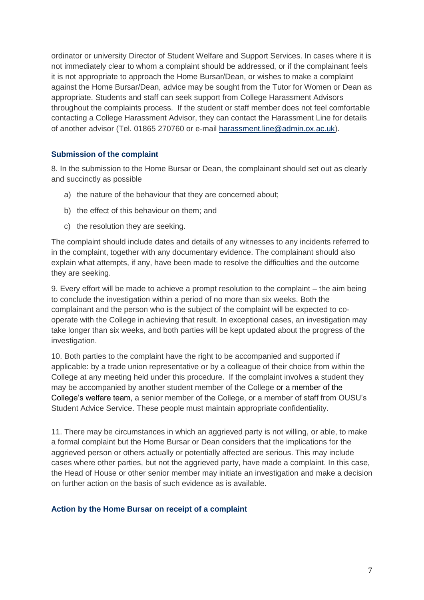ordinator or university Director of Student Welfare and Support Services. In cases where it is not immediately clear to whom a complaint should be addressed, or if the complainant feels it is not appropriate to approach the Home Bursar/Dean, or wishes to make a complaint against the Home Bursar/Dean, advice may be sought from the Tutor for Women or Dean as appropriate. Students and staff can seek support from College Harassment Advisors throughout the complaints process. If the student or staff member does not feel comfortable contacting a College Harassment Advisor, they can contact the Harassment Line for details of another advisor (Tel. 01865 270760 or e-mail [harassment.line@admin.ox.ac.uk\)](mailto:harassment.line@admin.ox.ac.uk).

#### **Submission of the complaint**

8. In the submission to the Home Bursar or Dean, the complainant should set out as clearly and succinctly as possible

- a) the nature of the behaviour that they are concerned about;
- b) the effect of this behaviour on them; and
- c) the resolution they are seeking.

The complaint should include dates and details of any witnesses to any incidents referred to in the complaint, together with any documentary evidence. The complainant should also explain what attempts, if any, have been made to resolve the difficulties and the outcome they are seeking.

9. Every effort will be made to achieve a prompt resolution to the complaint – the aim being to conclude the investigation within a period of no more than six weeks. Both the complainant and the person who is the subject of the complaint will be expected to cooperate with the College in achieving that result. In exceptional cases, an investigation may take longer than six weeks, and both parties will be kept updated about the progress of the investigation.

10. Both parties to the complaint have the right to be accompanied and supported if applicable: by a trade union representative or by a colleague of their choice from within the College at any meeting held under this procedure. If the complaint involves a student they may be accompanied by another student member of the College or a member of the College's welfare team, a senior member of the College, or a member of staff from OUSU's Student Advice Service. These people must maintain appropriate confidentiality.

11. There may be circumstances in which an aggrieved party is not willing, or able, to make a formal complaint but the Home Bursar or Dean considers that the implications for the aggrieved person or others actually or potentially affected are serious. This may include cases where other parties, but not the aggrieved party, have made a complaint. In this case, the Head of House or other senior member may initiate an investigation and make a decision on further action on the basis of such evidence as is available.

#### **Action by the Home Bursar on receipt of a complaint**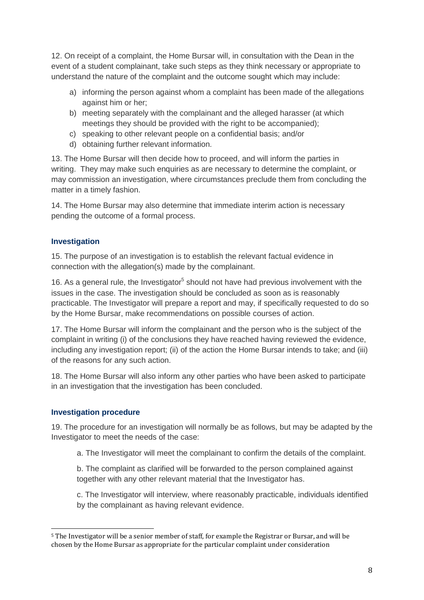12. On receipt of a complaint, the Home Bursar will, in consultation with the Dean in the event of a student complainant, take such steps as they think necessary or appropriate to understand the nature of the complaint and the outcome sought which may include:

- a) informing the person against whom a complaint has been made of the allegations against him or her;
- b) meeting separately with the complainant and the alleged harasser (at which meetings they should be provided with the right to be accompanied);
- c) speaking to other relevant people on a confidential basis; and/or
- d) obtaining further relevant information.

13. The Home Bursar will then decide how to proceed, and will inform the parties in writing. They may make such enquiries as are necessary to determine the complaint, or may commission an investigation, where circumstances preclude them from concluding the matter in a timely fashion.

14. The Home Bursar may also determine that immediate interim action is necessary pending the outcome of a formal process.

#### **Investigation**

15. The purpose of an investigation is to establish the relevant factual evidence in connection with the allegation(s) made by the complainant.

16. As a general rule, the Investigator<sup>5</sup> should not have had previous involvement with the issues in the case. The investigation should be concluded as soon as is reasonably practicable. The Investigator will prepare a report and may, if specifically requested to do so by the Home Bursar, make recommendations on possible courses of action.

17. The Home Bursar will inform the complainant and the person who is the subject of the complaint in writing (i) of the conclusions they have reached having reviewed the evidence, including any investigation report; (ii) of the action the Home Bursar intends to take; and (iii) of the reasons for any such action.

18. The Home Bursar will also inform any other parties who have been asked to participate in an investigation that the investigation has been concluded.

#### **Investigation procedure**

19. The procedure for an investigation will normally be as follows, but may be adapted by the Investigator to meet the needs of the case:

a. The Investigator will meet the complainant to confirm the details of the complaint.

b. The complaint as clarified will be forwarded to the person complained against together with any other relevant material that the Investigator has.

c. The Investigator will interview, where reasonably practicable, individuals identified by the complainant as having relevant evidence.

<sup>&</sup>lt;u>.</u> <sup>5</sup> The Investigator will be a senior member of staff, for example the Registrar or Bursar, and will be chosen by the Home Bursar as appropriate for the particular complaint under consideration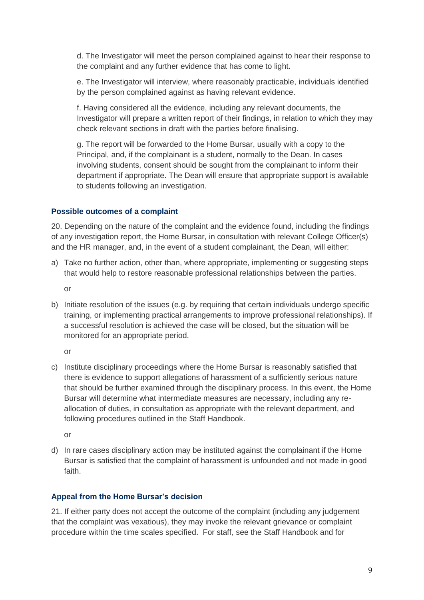d. The Investigator will meet the person complained against to hear their response to the complaint and any further evidence that has come to light.

e. The Investigator will interview, where reasonably practicable, individuals identified by the person complained against as having relevant evidence.

f. Having considered all the evidence, including any relevant documents, the Investigator will prepare a written report of their findings, in relation to which they may check relevant sections in draft with the parties before finalising.

g. The report will be forwarded to the Home Bursar, usually with a copy to the Principal, and, if the complainant is a student, normally to the Dean. In cases involving students, consent should be sought from the complainant to inform their department if appropriate. The Dean will ensure that appropriate support is available to students following an investigation.

#### **Possible outcomes of a complaint**

20. Depending on the nature of the complaint and the evidence found, including the findings of any investigation report, the Home Bursar, in consultation with relevant College Officer(s) and the HR manager, and, in the event of a student complainant, the Dean, will either:

a) Take no further action, other than, where appropriate, implementing or suggesting steps that would help to restore reasonable professional relationships between the parties.

or

b) Initiate resolution of the issues (e.g. by requiring that certain individuals undergo specific training, or implementing practical arrangements to improve professional relationships). If a successful resolution is achieved the case will be closed, but the situation will be monitored for an appropriate period.

or

c) Institute disciplinary proceedings where the Home Bursar is reasonably satisfied that there is evidence to support allegations of harassment of a sufficiently serious nature that should be further examined through the disciplinary process. In this event, the Home Bursar will determine what intermediate measures are necessary, including any reallocation of duties, in consultation as appropriate with the relevant department, and following procedures outlined in the Staff Handbook.

or

d) In rare cases disciplinary action may be instituted against the complainant if the Home Bursar is satisfied that the complaint of harassment is unfounded and not made in good faith.

### **Appeal from the Home Bursar's decision**

21. If either party does not accept the outcome of the complaint (including any judgement that the complaint was vexatious), they may invoke the relevant grievance or complaint procedure within the time scales specified. For staff, see the Staff Handbook and for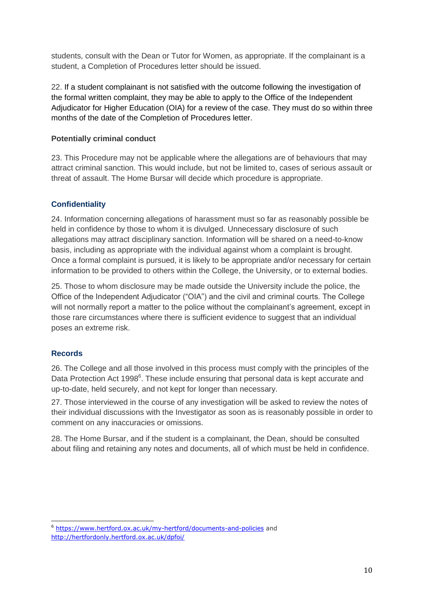students, consult with the Dean or Tutor for Women, as appropriate. If the complainant is a student, a Completion of Procedures letter should be issued.

22. If a student complainant is not satisfied with the outcome following the investigation of the formal written complaint, they may be able to apply to the Office of the Independent Adjudicator for Higher Education (OIA) for a review of the case. They must do so within three months of the date of the Completion of Procedures letter.

#### **Potentially criminal conduct**

23. This Procedure may not be applicable where the allegations are of behaviours that may attract criminal sanction. This would include, but not be limited to, cases of serious assault or threat of assault. The Home Bursar will decide which procedure is appropriate.

### **Confidentiality**

24. Information concerning allegations of harassment must so far as reasonably possible be held in confidence by those to whom it is divulged. Unnecessary disclosure of such allegations may attract disciplinary sanction. Information will be shared on a need-to-know basis, including as appropriate with the individual against whom a complaint is brought. Once a formal complaint is pursued, it is likely to be appropriate and/or necessary for certain information to be provided to others within the College, the University, or to external bodies.

25. Those to whom disclosure may be made outside the University include the police, the Office of the Independent Adjudicator ("OIA") and the civil and criminal courts. The College will not normally report a matter to the police without the complainant's agreement, except in those rare circumstances where there is sufficient evidence to suggest that an individual poses an extreme risk.

### **Records**

-

26. The College and all those involved in this process must comply with the principles of the Data Protection Act 1998<sup>6</sup>. These include ensuring that personal data is kept accurate and up-to-date, held securely, and not kept for longer than necessary.

27. Those interviewed in the course of any investigation will be asked to review the notes of their individual discussions with the Investigator as soon as is reasonably possible in order to comment on any inaccuracies or omissions.

28. The Home Bursar, and if the student is a complainant, the Dean, should be consulted about filing and retaining any notes and documents, all of which must be held in confidence.

<sup>&</sup>lt;sup>6</sup> <https://www.hertford.ox.ac.uk/my-hertford/documents-and-policies> and <http://hertfordonly.hertford.ox.ac.uk/dpfoi/>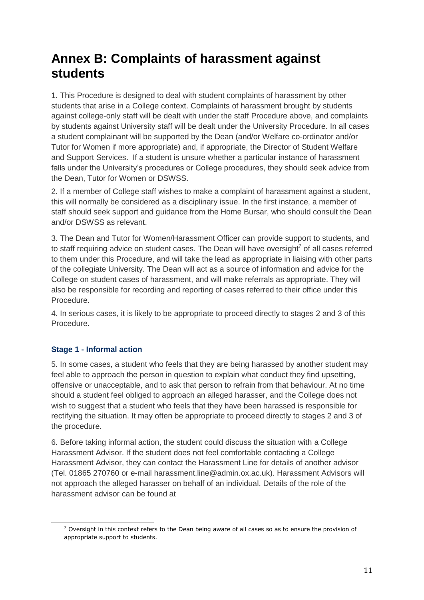# **Annex B: Complaints of harassment against students**

1. This Procedure is designed to deal with student complaints of harassment by other students that arise in a College context. Complaints of harassment brought by students against college-only staff will be dealt with under the staff Procedure above, and complaints by students against University staff will be dealt under the University Procedure. In all cases a student complainant will be supported by the Dean (and/or Welfare co-ordinator and/or Tutor for Women if more appropriate) and, if appropriate, the Director of Student Welfare and Support Services. If a student is unsure whether a particular instance of harassment falls under the University's procedures or College procedures, they should seek advice from the Dean, Tutor for Women or DSWSS.

2. If a member of College staff wishes to make a complaint of harassment against a student, this will normally be considered as a disciplinary issue. In the first instance, a member of staff should seek support and guidance from the Home Bursar, who should consult the Dean and/or DSWSS as relevant.

3. The Dean and Tutor for Women/Harassment Officer can provide support to students, and to staff requiring advice on student cases. The Dean will have oversight<sup>7</sup> of all cases referred to them under this Procedure, and will take the lead as appropriate in liaising with other parts of the collegiate University. The Dean will act as a source of information and advice for the College on student cases of harassment, and will make referrals as appropriate. They will also be responsible for recording and reporting of cases referred to their office under this Procedure.

4. In serious cases, it is likely to be appropriate to proceed directly to stages 2 and 3 of this Procedure.

# **Stage 1 - Informal action**

.<br>-

5. In some cases, a student who feels that they are being harassed by another student may feel able to approach the person in question to explain what conduct they find upsetting, offensive or unacceptable, and to ask that person to refrain from that behaviour. At no time should a student feel obliged to approach an alleged harasser, and the College does not wish to suggest that a student who feels that they have been harassed is responsible for rectifying the situation. It may often be appropriate to proceed directly to stages 2 and 3 of the procedure.

6. Before taking informal action, the student could discuss the situation with a College Harassment Advisor. If the student does not feel comfortable contacting a College Harassment Advisor, they can contact the Harassment Line for details of another advisor (Tel. 01865 270760 or e-mail harassment.line@admin.ox.ac.uk). Harassment Advisors will not approach the alleged harasser on behalf of an individual. Details of the role of the harassment advisor can be found at

 $7$  Oversight in this context refers to the Dean being aware of all cases so as to ensure the provision of appropriate support to students.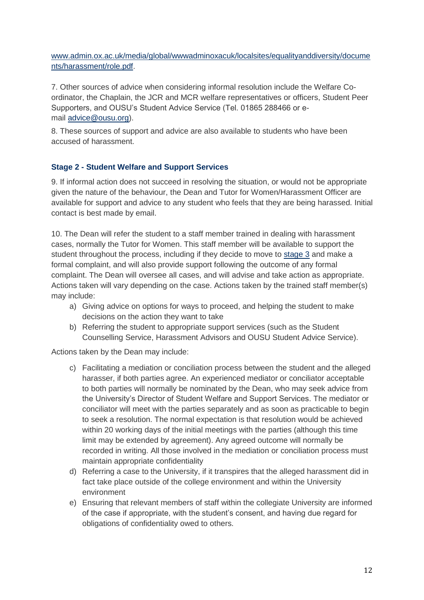[www.admin.ox.ac.uk/media/global/wwwadminoxacuk/localsites/equalityanddiversity/docume](http://www.admin.ox.ac.uk/media/global/wwwadminoxacuk/localsites/equalityanddiversity/documents/harassment/role.pdf) [nts/harassment/role.pdf.](http://www.admin.ox.ac.uk/media/global/wwwadminoxacuk/localsites/equalityanddiversity/documents/harassment/role.pdf)

7. Other sources of advice when considering informal resolution include the Welfare Coordinator, the Chaplain, the JCR and MCR welfare representatives or officers, Student Peer Supporters, and OUSU's Student Advice Service (Tel. 01865 288466 or email [advice@ousu.org\)](mailto:advice@ousu.org).

8. These sources of support and advice are also available to students who have been accused of harassment.

## **Stage 2 - Student Welfare and Support Services**

9. If informal action does not succeed in resolving the situation, or would not be appropriate given the nature of the behaviour, the Dean and Tutor for Women/Harassment Officer are available for support and advice to any student who feels that they are being harassed. Initial contact is best made by email.

10. The Dean will refer the student to a staff member trained in dealing with harassment cases, normally the Tutor for Women. This staff member will be available to support the student throughout the process, including if they decide to move to [stage 3](http://www.admin.ox.ac.uk/eop/harassmentadvice/policyandprocedure/complaintsofharassmentagainststudents/#d.en.192167) and make a formal complaint, and will also provide support following the outcome of any formal complaint. The Dean will oversee all cases, and will advise and take action as appropriate. Actions taken will vary depending on the case. Actions taken by the trained staff member(s) may include:

- a) Giving advice on options for ways to proceed, and helping the student to make decisions on the action they want to take
- b) Referring the student to appropriate support services (such as the Student Counselling Service, Harassment Advisors and OUSU Student Advice Service).

Actions taken by the Dean may include:

- c) Facilitating a mediation or conciliation process between the student and the alleged harasser, if both parties agree. An experienced mediator or conciliator acceptable to both parties will normally be nominated by the Dean, who may seek advice from the University's Director of Student Welfare and Support Services. The mediator or conciliator will meet with the parties separately and as soon as practicable to begin to seek a resolution. The normal expectation is that resolution would be achieved within 20 working days of the initial meetings with the parties (although this time limit may be extended by agreement). Any agreed outcome will normally be recorded in writing. All those involved in the mediation or conciliation process must maintain appropriate confidentiality
- d) Referring a case to the University, if it transpires that the alleged harassment did in fact take place outside of the college environment and within the University environment
- e) Ensuring that relevant members of staff within the collegiate University are informed of the case if appropriate, with the student's consent, and having due regard for obligations of confidentiality owed to others.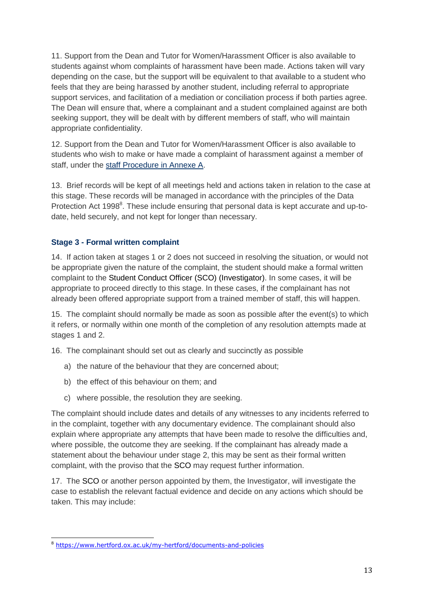11. Support from the Dean and Tutor for Women/Harassment Officer is also available to students against whom complaints of harassment have been made. Actions taken will vary depending on the case, but the support will be equivalent to that available to a student who feels that they are being harassed by another student, including referral to appropriate support services, and facilitation of a mediation or conciliation process if both parties agree. The Dean will ensure that, where a complainant and a student complained against are both seeking support, they will be dealt with by different members of staff, who will maintain appropriate confidentiality.

12. Support from the Dean and Tutor for Women/Harassment Officer is also available to students who wish to make or have made a complaint of harassment against a member of staff, under the [staff Procedure in Annexe A.](http://www.admin.ox.ac.uk/eop/harassmentadvice/policyandprocedure/complaintsofharassmentagainstuniversitystaff/)

13. Brief records will be kept of all meetings held and actions taken in relation to the case at this stage. These records will be managed in accordance with the principles of the Data Protection Act 1998<sup>8</sup>. These include ensuring that personal data is kept accurate and up-todate, held securely, and not kept for longer than necessary.

### **Stage 3 - Formal written complaint**

14. If action taken at stages 1 or 2 does not succeed in resolving the situation, or would not be appropriate given the nature of the complaint, the student should make a formal written complaint to the Student Conduct Officer (SCO) (Investigator). In some cases, it will be appropriate to proceed directly to this stage. In these cases, if the complainant has not already been offered appropriate support from a trained member of staff, this will happen.

15. The complaint should normally be made as soon as possible after the event(s) to which it refers, or normally within one month of the completion of any resolution attempts made at stages 1 and 2.

16. The complainant should set out as clearly and succinctly as possible

- a) the nature of the behaviour that they are concerned about;
- b) the effect of this behaviour on them; and
- c) where possible, the resolution they are seeking.

The complaint should include dates and details of any witnesses to any incidents referred to in the complaint, together with any documentary evidence. The complainant should also explain where appropriate any attempts that have been made to resolve the difficulties and, where possible, the outcome they are seeking. If the complainant has already made a statement about the behaviour under stage 2, this may be sent as their formal written complaint, with the proviso that the SCO may request further information.

17. The SCO or another person appointed by them, the Investigator, will investigate the case to establish the relevant factual evidence and decide on any actions which should be taken. This may include:

<u>.</u>

<sup>8</sup> <https://www.hertford.ox.ac.uk/my-hertford/documents-and-policies>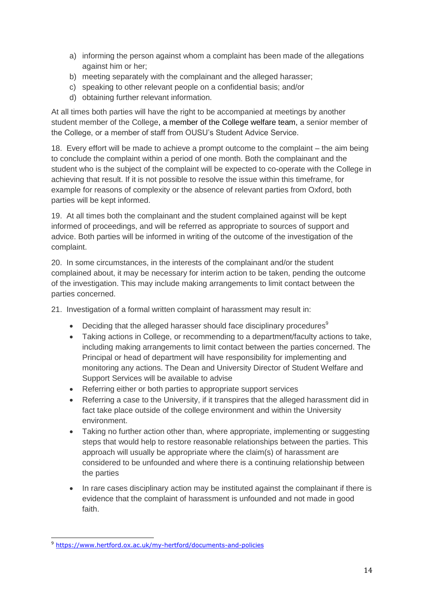- a) informing the person against whom a complaint has been made of the allegations against him or her;
- b) meeting separately with the complainant and the alleged harasser;
- c) speaking to other relevant people on a confidential basis; and/or
- d) obtaining further relevant information.

At all times both parties will have the right to be accompanied at meetings by another student member of the College, a member of the College welfare team, a senior member of the College, or a member of staff from OUSU's Student Advice Service.

18. Every effort will be made to achieve a prompt outcome to the complaint – the aim being to conclude the complaint within a period of one month. Both the complainant and the student who is the subject of the complaint will be expected to co-operate with the College in achieving that result. If it is not possible to resolve the issue within this timeframe, for example for reasons of complexity or the absence of relevant parties from Oxford, both parties will be kept informed.

19. At all times both the complainant and the student complained against will be kept informed of proceedings, and will be referred as appropriate to sources of support and advice. Both parties will be informed in writing of the outcome of the investigation of the complaint.

20. In some circumstances, in the interests of the complainant and/or the student complained about, it may be necessary for interim action to be taken, pending the outcome of the investigation. This may include making arrangements to limit contact between the parties concerned.

21. Investigation of a formal written complaint of harassment may result in:

- **•** Deciding that the alleged harasser should face disciplinary procedures<sup>9</sup>
- Taking actions in College, or recommending to a department/faculty actions to take, including making arrangements to limit contact between the parties concerned. The Principal or head of department will have responsibility for implementing and monitoring any actions. The Dean and University Director of Student Welfare and Support Services will be available to advise
- Referring either or both parties to appropriate support services
- Referring a case to the University, if it transpires that the alleged harassment did in fact take place outside of the college environment and within the University environment.
- Taking no further action other than, where appropriate, implementing or suggesting steps that would help to restore reasonable relationships between the parties. This approach will usually be appropriate where the claim(s) of harassment are considered to be unfounded and where there is a continuing relationship between the parties
- In rare cases disciplinary action may be instituted against the complainant if there is evidence that the complaint of harassment is unfounded and not made in good faith.

<sup>&</sup>lt;u>.</u> <sup>9</sup> <https://www.hertford.ox.ac.uk/my-hertford/documents-and-policies>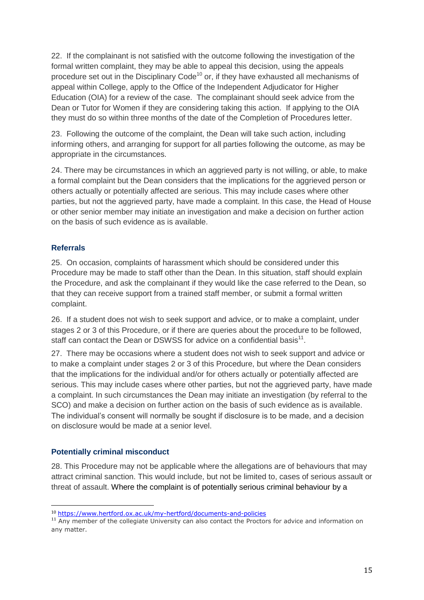22. If the complainant is not satisfied with the outcome following the investigation of the formal written complaint, they may be able to appeal this decision, using the appeals procedure set out in the Disciplinary Code<sup>10</sup> or, if they have exhausted all mechanisms of appeal within College, apply to the Office of the Independent Adjudicator for Higher Education (OIA) for a review of the case. The complainant should seek advice from the Dean or Tutor for Women if they are considering taking this action. If applying to the OIA they must do so within three months of the date of the Completion of Procedures letter.

23. Following the outcome of the complaint, the Dean will take such action, including informing others, and arranging for support for all parties following the outcome, as may be appropriate in the circumstances.

24. There may be circumstances in which an aggrieved party is not willing, or able, to make a formal complaint but the Dean considers that the implications for the aggrieved person or others actually or potentially affected are serious. This may include cases where other parties, but not the aggrieved party, have made a complaint. In this case, the Head of House or other senior member may initiate an investigation and make a decision on further action on the basis of such evidence as is available.

#### **Referrals**

-

25. On occasion, complaints of harassment which should be considered under this Procedure may be made to staff other than the Dean. In this situation, staff should explain the Procedure, and ask the complainant if they would like the case referred to the Dean, so that they can receive support from a trained staff member, or submit a formal written complaint.

26. If a student does not wish to seek support and advice, or to make a complaint, under stages 2 or 3 of this Procedure, or if there are queries about the procedure to be followed, staff can contact the Dean or DSWSS for advice on a confidential basis $^{11}$ .

27. There may be occasions where a student does not wish to seek support and advice or to make a complaint under stages 2 or 3 of this Procedure, but where the Dean considers that the implications for the individual and/or for others actually or potentially affected are serious. This may include cases where other parties, but not the aggrieved party, have made a complaint. In such circumstances the Dean may initiate an investigation (by referral to the SCO) and make a decision on further action on the basis of such evidence as is available. The individual's consent will normally be sought if disclosure is to be made, and a decision on disclosure would be made at a senior level.

### **Potentially criminal misconduct**

28. This Procedure may not be applicable where the allegations are of behaviours that may attract criminal sanction. This would include, but not be limited to, cases of serious assault or threat of assault. Where the complaint is of potentially serious criminal behaviour by a

<sup>10</sup> <https://www.hertford.ox.ac.uk/my-hertford/documents-and-policies>

<sup>&</sup>lt;sup>11</sup> Any member of the collegiate University can also contact the Proctors for advice and information on any matter.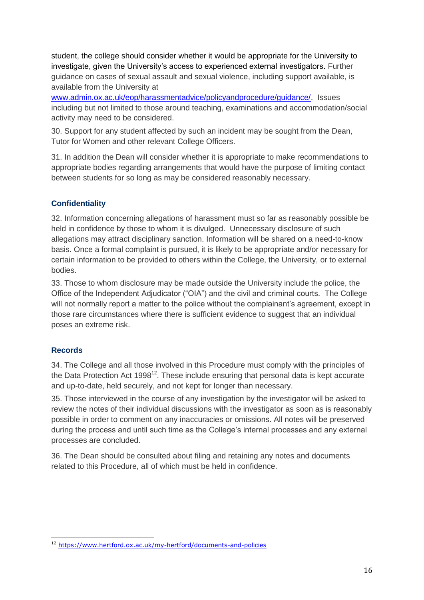student, the college should consider whether it would be appropriate for the University to investigate, given the University's access to experienced external investigators. Further guidance on cases of sexual assault and sexual violence, including support available, is available from the University at

[www.admin.ox.ac.uk/eop/harassmentadvice/policyandprocedure/guidance/.](http://www.admin.ox.ac.uk/eop/harassmentadvice/policyandprocedure/guidance/) Issues including but not limited to those around teaching, examinations and accommodation/social activity may need to be considered.

30. Support for any student affected by such an incident may be sought from the Dean, Tutor for Women and other relevant College Officers.

31. In addition the Dean will consider whether it is appropriate to make recommendations to appropriate bodies regarding arrangements that would have the purpose of limiting contact between students for so long as may be considered reasonably necessary.

## **Confidentiality**

32. Information concerning allegations of harassment must so far as reasonably possible be held in confidence by those to whom it is divulged. Unnecessary disclosure of such allegations may attract disciplinary sanction. Information will be shared on a need-to-know basis. Once a formal complaint is pursued, it is likely to be appropriate and/or necessary for certain information to be provided to others within the College, the University, or to external bodies.

33. Those to whom disclosure may be made outside the University include the police, the Office of the Independent Adjudicator ("OIA") and the civil and criminal courts. The College will not normally report a matter to the police without the complainant's agreement, except in those rare circumstances where there is sufficient evidence to suggest that an individual poses an extreme risk.

### **Records**

34. The College and all those involved in this Procedure must comply with the principles of the Data Protection Act  $1998^{12}$ . These include ensuring that personal data is kept accurate and up-to-date, held securely, and not kept for longer than necessary.

35. Those interviewed in the course of any investigation by the investigator will be asked to review the notes of their individual discussions with the investigator as soon as is reasonably possible in order to comment on any inaccuracies or omissions. All notes will be preserved during the process and until such time as the College's internal processes and any external processes are concluded.

36. The Dean should be consulted about filing and retaining any notes and documents related to this Procedure, all of which must be held in confidence.

<sup>&</sup>lt;u>.</u> <sup>12</sup> <https://www.hertford.ox.ac.uk/my-hertford/documents-and-policies>